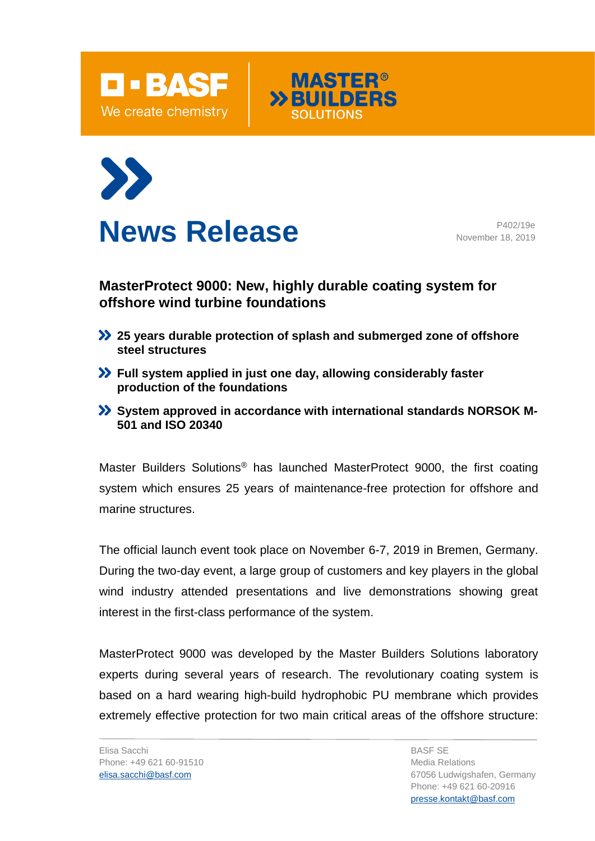





**News Release** P402/19e November 18, 2019

## **MasterProtect 9000: New, highly durable coating system for offshore wind turbine foundations**

- **25 years durable protection of splash and submerged zone of offshore steel structures**
- **Full system applied in just one day, allowing considerably faster production of the foundations**
- **System approved in accordance with international standards NORSOK M-501 and ISO 20340**

Master Builders Solutions® has launched MasterProtect 9000, the first coating system which ensures 25 years of maintenance-free protection for offshore and marine structures.

The official launch event took place on November 6-7, 2019 in Bremen, Germany. During the two-day event, a large group of customers and key players in the global wind industry attended presentations and live demonstrations showing great interest in the first-class performance of the system.

MasterProtect 9000 was developed by the Master Builders Solutions laboratory experts during several years of research. The revolutionary coating system is based on a hard wearing high-build hydrophobic PU membrane which provides extremely effective protection for two main critical areas of the offshore structure: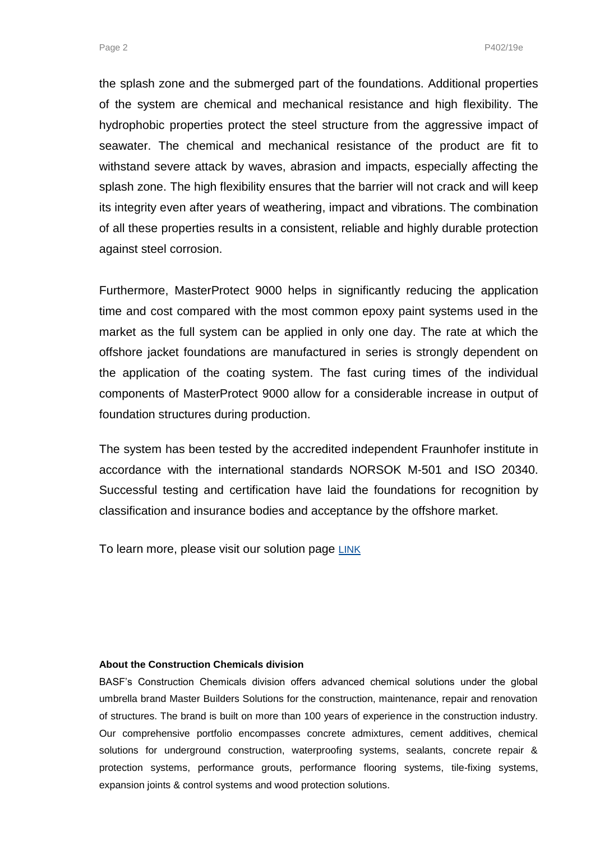Page 2 P402/19e

the splash zone and the submerged part of the foundations. Additional properties of the system are chemical and mechanical resistance and high flexibility. The hydrophobic properties protect the steel structure from the aggressive impact of seawater. The chemical and mechanical resistance of the product are fit to withstand severe attack by waves, abrasion and impacts, especially affecting the splash zone. The high flexibility ensures that the barrier will not crack and will keep its integrity even after years of weathering, impact and vibrations. The combination of all these properties results in a consistent, reliable and highly durable protection against steel corrosion.

Furthermore, MasterProtect 9000 helps in significantly reducing the application time and cost compared with the most common epoxy paint systems used in the market as the full system can be applied in only one day. The rate at which the offshore jacket foundations are manufactured in series is strongly dependent on the application of the coating system. The fast curing times of the individual components of MasterProtect 9000 allow for a considerable increase in output of foundation structures during production.

The system has been tested by the accredited independent Fraunhofer institute in accordance with the international standards NORSOK M-501 and ISO 20340. Successful testing and certification have laid the foundations for recognition by classification and insurance bodies and acceptance by the offshore market.

To learn more, please visit our solution page [LINK](https://www.master-builders-solutions.basf.co.uk/en-gb/products/masterprotect/masterprotect-9000)

## **About the Construction Chemicals division**

BASF's Construction Chemicals division offers advanced chemical solutions under the global umbrella brand Master Builders Solutions for the construction, maintenance, repair and renovation of structures. The brand is built on more than 100 years of experience in the construction industry. Our comprehensive portfolio encompasses concrete admixtures, cement additives, chemical solutions for underground construction, waterproofing systems, sealants, concrete repair & protection systems, performance grouts, performance flooring systems, tile-fixing systems, expansion joints & control systems and wood protection solutions.